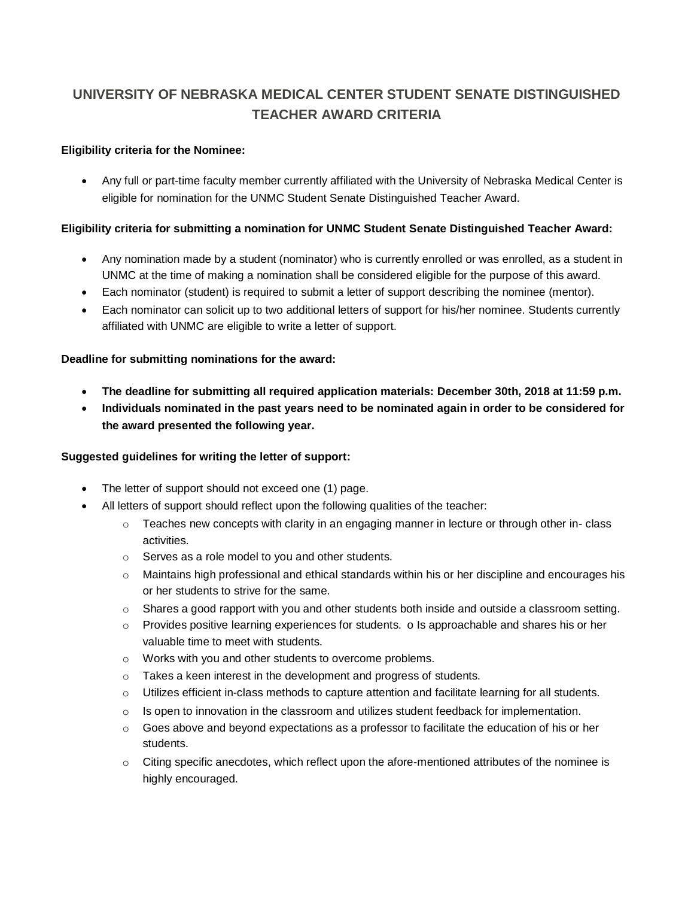# **UNIVERSITY OF NEBRASKA MEDICAL CENTER STUDENT SENATE DISTINGUISHED TEACHER AWARD CRITERIA**

## **Eligibility criteria for the Nominee:**

• Any full or part-time faculty member currently affiliated with the University of Nebraska Medical Center is eligible for nomination for the UNMC Student Senate Distinguished Teacher Award.

## **Eligibility criteria for submitting a nomination for UNMC Student Senate Distinguished Teacher Award:**

- Any nomination made by a student (nominator) who is currently enrolled or was enrolled, as a student in UNMC at the time of making a nomination shall be considered eligible for the purpose of this award.
- Each nominator (student) is required to submit a letter of support describing the nominee (mentor).
- Each nominator can solicit up to two additional letters of support for his/her nominee. Students currently affiliated with UNMC are eligible to write a letter of support.

#### **Deadline for submitting nominations for the award:**

- **The deadline for submitting all required application materials: December 30th, 2018 at 11:59 p.m.**
- **Individuals nominated in the past years need to be nominated again in order to be considered for the award presented the following year.**

#### **Suggested guidelines for writing the letter of support:**

- The letter of support should not exceed one (1) page.
- All letters of support should reflect upon the following qualities of the teacher:
	- $\circ$  Teaches new concepts with clarity in an engaging manner in lecture or through other in-class activities.
	- o Serves as a role model to you and other students.
	- o Maintains high professional and ethical standards within his or her discipline and encourages his or her students to strive for the same.
	- $\circ$  Shares a good rapport with you and other students both inside and outside a classroom setting.
	- $\circ$  Provides positive learning experiences for students. o Is approachable and shares his or her valuable time to meet with students.
	- o Works with you and other students to overcome problems.
	- o Takes a keen interest in the development and progress of students.
	- o Utilizes efficient in-class methods to capture attention and facilitate learning for all students.
	- $\circ$  Is open to innovation in the classroom and utilizes student feedback for implementation.
	- $\circ$  Goes above and beyond expectations as a professor to facilitate the education of his or her students.
	- $\circ$  Citing specific anecdotes, which reflect upon the afore-mentioned attributes of the nominee is highly encouraged.